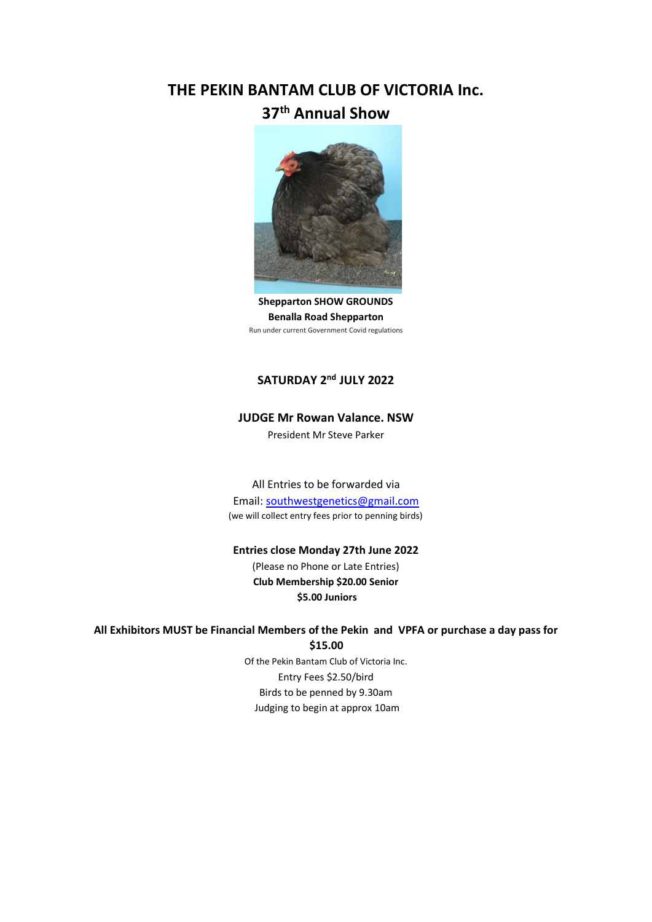# **THE PEKIN BANTAM CLUB OF VICTORIA Inc. 37th Annual Show**



**Shepparton SHOW GROUNDS Benalla Road Shepparton**  Run under current Government Covid regulations

## **SATURDAY 2nd JULY 2022**

### **JUDGE Mr Rowan Valance. NSW**

President Mr Steve Parker

All Entries to be forwarded via Email: southwestgenetics@gmail.com (we will collect entry fees prior to penning birds)

### **Entries close Monday 27th June 2022**

(Please no Phone or Late Entries) **Club Membership \$20.00 Senior \$5.00 Juniors** 

### **All Exhibitors MUST be Financial Members of the Pekin and VPFA or purchase a day pass for \$15.00**

Of the Pekin Bantam Club of Victoria Inc. Entry Fees \$2.50/bird Birds to be penned by 9.30am Judging to begin at approx 10am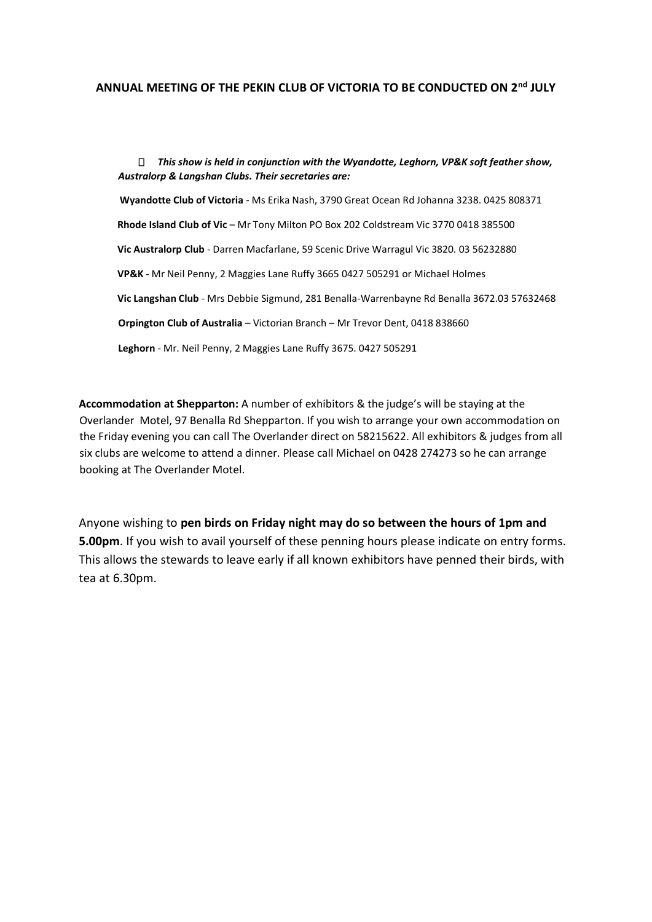### **ANNUAL MEETING OF THE PEKIN CLUB OF VICTORIA TO BE CONDUCTED ON 2nd JULY**

*This show is held in conjunction with the Wyandotte, Leghorn, VP&K soft feather show, Australorp & Langshan Clubs. Their secretaries are:* **Wyandotte Club of Victoria** - Ms Erika Nash, 3790 Great Ocean Rd Johanna 3238. 0425 808371 **Rhode Island Club of Vic** – Mr Tony Milton PO Box 202 Coldstream Vic 3770 0418 385500 **Vic Australorp Club** - Darren Macfarlane, 59 Scenic Drive Warragul Vic 3820. 03 56232880 **VP&K** - Mr Neil Penny, 2 Maggies Lane Ruffy 3665 0427 505291 or Michael Holmes **Vic Langshan Club** - Mrs Debbie Sigmund, 281 Benalla-Warrenbayne Rd Benalla 3672.03 57632468 **Orpington Club of Australia** – Victorian Branch – Mr Trevor Dent, 0418 838660 **Leghorn** - Mr. Neil Penny, 2 Maggies Lane Ruffy 3675. 0427 505291

**Accommodation at Shepparton:** A number of exhibitors & the judge's will be staying at the Overlander Motel, 97 Benalla Rd Shepparton. If you wish to arrange your own accommodation on the Friday evening you can call The Overlander direct on 58215622. All exhibitors & judges from all six clubs are welcome to attend a dinner. Please call Michael on 0428 274273 so he can arrange booking at The Overlander Motel.

Anyone wishing to **pen birds on Friday night may do so between the hours of 1pm and 5.00pm**. If you wish to avail yourself of these penning hours please indicate on entry forms. This allows the stewards to leave early if all known exhibitors have penned their birds, with tea at 6.30pm.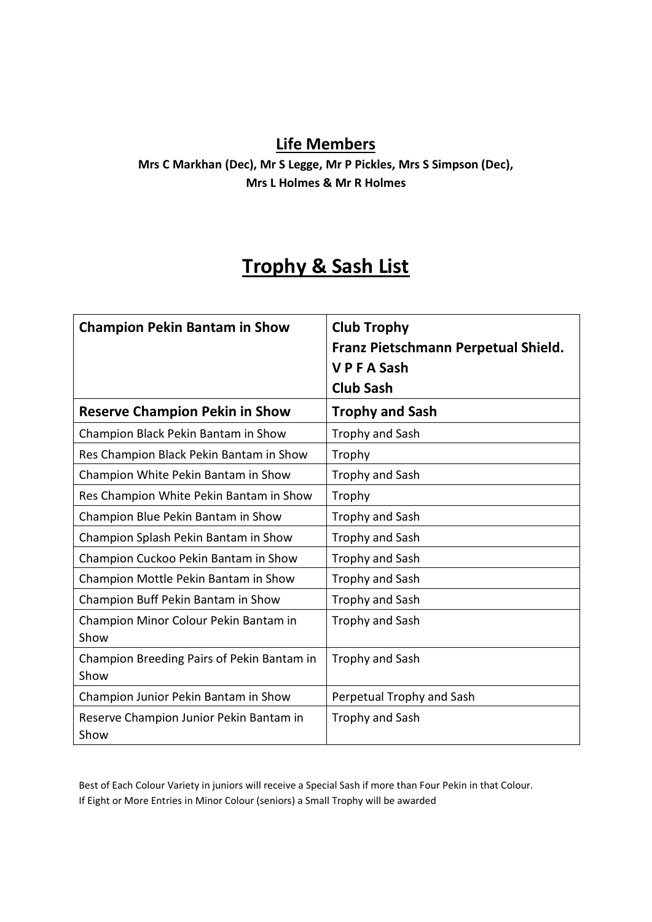# **Life Members**

**Mrs C Markhan (Dec), Mr S Legge, Mr P Pickles, Mrs S Simpson (Dec), Mrs L Holmes & Mr R Holmes** 

# **Trophy & Sash List**

| <b>Champion Pekin Bantam in Show</b>               | <b>Club Trophy</b><br>Franz Pietschmann Perpetual Shield.<br><b>VPFASash</b><br><b>Club Sash</b> |
|----------------------------------------------------|--------------------------------------------------------------------------------------------------|
| <b>Reserve Champion Pekin in Show</b>              | <b>Trophy and Sash</b>                                                                           |
| Champion Black Pekin Bantam in Show                | Trophy and Sash                                                                                  |
| Res Champion Black Pekin Bantam in Show            | Trophy                                                                                           |
| Champion White Pekin Bantam in Show                | Trophy and Sash                                                                                  |
| Res Champion White Pekin Bantam in Show            | Trophy                                                                                           |
| Champion Blue Pekin Bantam in Show                 | <b>Trophy and Sash</b>                                                                           |
| Champion Splash Pekin Bantam in Show               | <b>Trophy and Sash</b>                                                                           |
| Champion Cuckoo Pekin Bantam in Show               | Trophy and Sash                                                                                  |
| Champion Mottle Pekin Bantam in Show               | Trophy and Sash                                                                                  |
| Champion Buff Pekin Bantam in Show                 | Trophy and Sash                                                                                  |
| Champion Minor Colour Pekin Bantam in<br>Show      | Trophy and Sash                                                                                  |
| Champion Breeding Pairs of Pekin Bantam in<br>Show | <b>Trophy and Sash</b>                                                                           |
| Champion Junior Pekin Bantam in Show               | Perpetual Trophy and Sash                                                                        |
| Reserve Champion Junior Pekin Bantam in<br>Show    | Trophy and Sash                                                                                  |

Best of Each Colour Variety in juniors will receive a Special Sash if more than Four Pekin in that Colour. If Eight or More Entries in Minor Colour (seniors) a Small Trophy will be awarded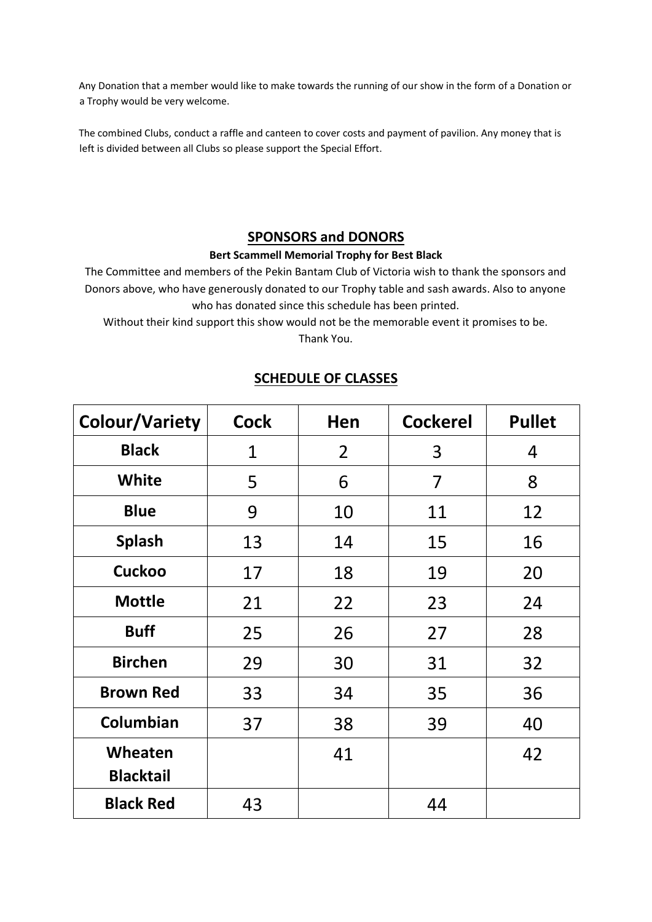Any Donation that a member would like to make towards the running of our show in the form of a Donation or a Trophy would be very welcome.

The combined Clubs, conduct a raffle and canteen to cover costs and payment of pavilion. Any money that is left is divided between all Clubs so please support the Special Effort.

### **SPONSORS and DONORS**

### **Bert Scammell Memorial Trophy for Best Black**

The Committee and members of the Pekin Bantam Club of Victoria wish to thank the sponsors and Donors above, who have generously donated to our Trophy table and sash awards. Also to anyone who has donated since this schedule has been printed.

Without their kind support this show would not be the memorable event it promises to be.

Thank You.

| <b>Colour/Variety</b>       | <b>Cock</b> | Hen            | <b>Cockerel</b> | <b>Pullet</b> |
|-----------------------------|-------------|----------------|-----------------|---------------|
| <b>Black</b>                | 1           | $\overline{2}$ | 3               | 4             |
| <b>White</b>                | 5           | 6              | 7               | 8             |
| <b>Blue</b>                 | 9           | 10             | 11              | 12            |
| <b>Splash</b>               | 13          | 14             | 15              | 16            |
| <b>Cuckoo</b>               | 17          | 18             | 19              | 20            |
| <b>Mottle</b>               | 21          | 22             | 23              | 24            |
| <b>Buff</b>                 | 25          | 26             | 27              | 28            |
| <b>Birchen</b>              | 29          | 30             | 31              | 32            |
| <b>Brown Red</b>            | 33          | 34             | 35              | 36            |
| Columbian                   | 37          | 38             | 39              | 40            |
| Wheaten<br><b>Blacktail</b> |             | 41             |                 | 42            |
| <b>Black Red</b>            | 43          |                | 44              |               |

## **SCHEDULE OF CLASSES**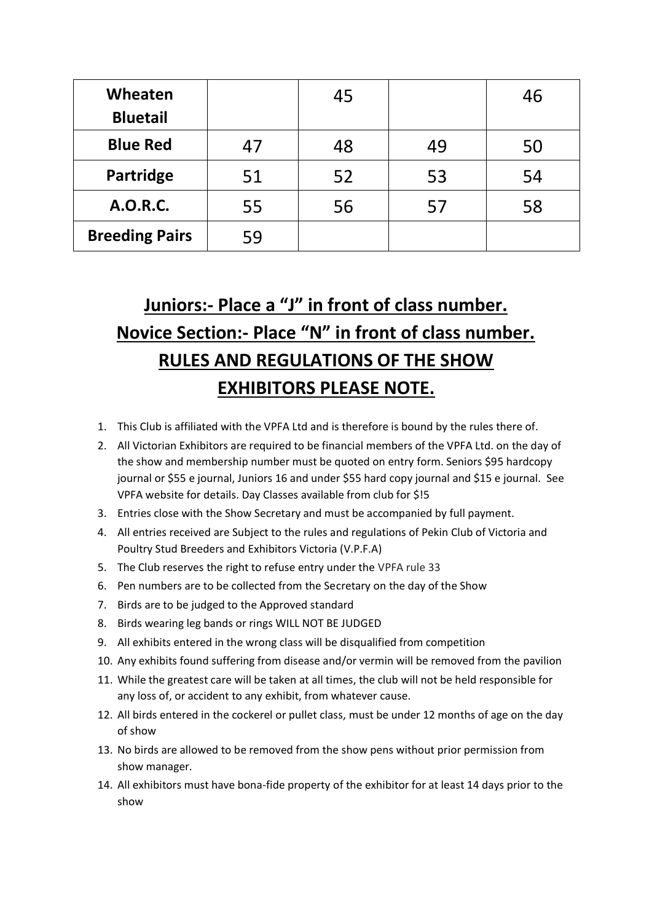| Wheaten<br><b>Bluetail</b> |    | 45 |    | 46 |
|----------------------------|----|----|----|----|
| <b>Blue Red</b>            | 47 | 48 | 49 | 50 |
| Partridge                  | 51 | 52 | 53 | 54 |
| <b>A.O.R.C.</b>            | 55 | 56 | 57 | 58 |
| <b>Breeding Pairs</b>      | 59 |    |    |    |

# **Juniors:- Place a "J" in front of class number. Novice Section:- Place "N" in front of class number. RULES AND REGULATIONS OF THE SHOW EXHIBITORS PLEASE NOTE.**

- 1. This Club is affiliated with the VPFA Ltd and is therefore is bound by the rules there of.
- 2. All Victorian Exhibitors are required to be financial members of the VPFA Ltd. on the day of the show and membership number must be quoted on entry form. Seniors \$95 hardcopy journal or \$55 e journal, Juniors 16 and under \$55 hard copy journal and \$15 e journal. See VPFA website for details. Day Classes available from club for \$!5
- 3. Entries close with the Show Secretary and must be accompanied by full payment.
- 4. All entries received are Subject to the rules and regulations of Pekin Club of Victoria and Poultry Stud Breeders and Exhibitors Victoria (V.P.F.A)
- 5. The Club reserves the right to refuse entry under the VPFA rule 33
- 6. Pen numbers are to be collected from the Secretary on the day of the Show
- 7. Birds are to be judged to the Approved standard
- 8. Birds wearing leg bands or rings WILL NOT BE JUDGED
- 9. All exhibits entered in the wrong class will be disqualified from competition
- 10. Any exhibits found suffering from disease and/or vermin will be removed from the pavilion
- 11. While the greatest care will be taken at all times, the club will not be held responsible for any loss of, or accident to any exhibit, from whatever cause.
- 12. All birds entered in the cockerel or pullet class, must be under 12 months of age on the day of show
- 13. No birds are allowed to be removed from the show pens without prior permission from show manager.
- 14. All exhibitors must have bona-fide property of the exhibitor for at least 14 days prior to the show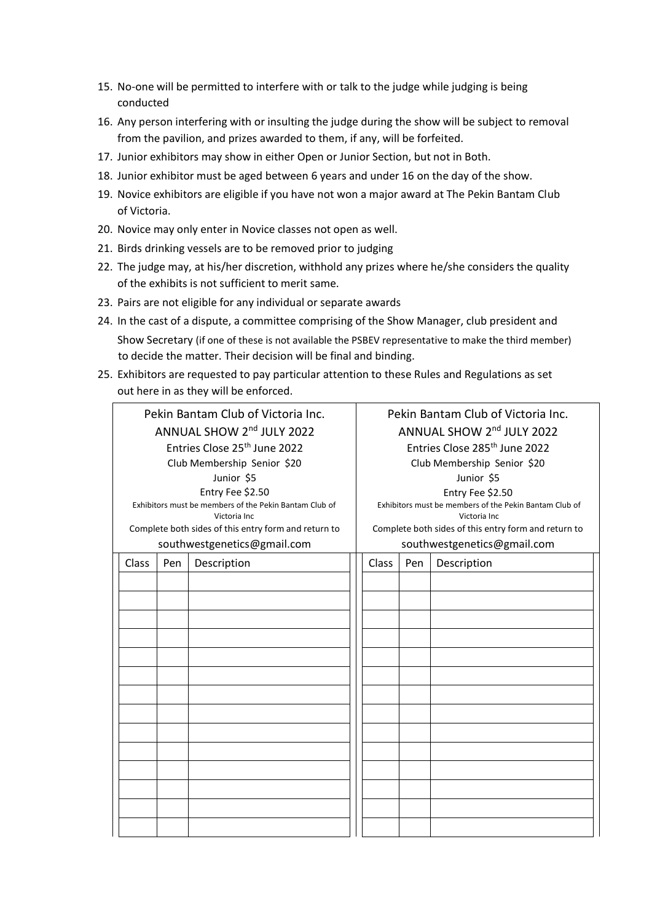- 15. No-one will be permitted to interfere with or talk to the judge while judging is being conducted
- 16. Any person interfering with or insulting the judge during the show will be subject to removal from the pavilion, and prizes awarded to them, if any, will be forfeited.
- 17. Junior exhibitors may show in either Open or Junior Section, but not in Both.
- 18. Junior exhibitor must be aged between 6 years and under 16 on the day of the show.
- 19. Novice exhibitors are eligible if you have not won a major award at The Pekin Bantam Club of Victoria.
- 20. Novice may only enter in Novice classes not open as well.
- 21. Birds drinking vessels are to be removed prior to judging
- 22. The judge may, at his/her discretion, withhold any prizes where he/she considers the quality of the exhibits is not sufficient to merit same.
- 23. Pairs are not eligible for any individual or separate awards
- 24. In the cast of a dispute, a committee comprising of the Show Manager, club president and Show Secretary (if one of these is not available the PSBEV representative to make the third member) to decide the matter. Their decision will be final and binding.
- 25. Exhibitors are requested to pay particular attention to these Rules and Regulations as set out here in as they will be enforced.

| Pekin Bantam Club of Victoria Inc.                                     |                             | Pekin Bantam Club of Victoria Inc.                                     |                             |     |                                                      |
|------------------------------------------------------------------------|-----------------------------|------------------------------------------------------------------------|-----------------------------|-----|------------------------------------------------------|
| ANNUAL SHOW 2nd JULY 2022                                              |                             | ANNUAL SHOW 2nd JULY 2022                                              |                             |     |                                                      |
| Entries Close 25 <sup>th</sup> June 2022                               |                             | Entries Close 285 <sup>th</sup> June 2022                              |                             |     |                                                      |
|                                                                        | Club Membership Senior \$20 |                                                                        | Club Membership Senior \$20 |     |                                                      |
|                                                                        |                             | Junior \$5                                                             | Junior \$5                  |     |                                                      |
|                                                                        |                             | Entry Fee \$2.50                                                       | Entry Fee \$2.50            |     |                                                      |
| Exhibitors must be members of the Pekin Bantam Club of<br>Victoria Inc |                             | Exhibitors must be members of the Pekin Bantam Club of<br>Victoria Inc |                             |     |                                                      |
|                                                                        |                             | Complete both sides of this entry form and return to                   |                             |     | Complete both sides of this entry form and return to |
| southwestgenetics@gmail.com                                            |                             | southwestgenetics@gmail.com                                            |                             |     |                                                      |
| Class                                                                  | Pen                         | Description                                                            | Class                       | Pen | Description                                          |
|                                                                        |                             |                                                                        |                             |     |                                                      |
|                                                                        |                             |                                                                        |                             |     |                                                      |
|                                                                        |                             |                                                                        |                             |     |                                                      |
|                                                                        |                             |                                                                        |                             |     |                                                      |
|                                                                        |                             |                                                                        |                             |     |                                                      |
|                                                                        |                             |                                                                        |                             |     |                                                      |
|                                                                        |                             |                                                                        |                             |     |                                                      |
|                                                                        |                             |                                                                        |                             |     |                                                      |
|                                                                        |                             |                                                                        |                             |     |                                                      |
|                                                                        |                             |                                                                        |                             |     |                                                      |
|                                                                        |                             |                                                                        |                             |     |                                                      |
|                                                                        |                             |                                                                        |                             |     |                                                      |
|                                                                        |                             |                                                                        |                             |     |                                                      |
|                                                                        |                             |                                                                        |                             |     |                                                      |
|                                                                        |                             |                                                                        |                             |     |                                                      |
|                                                                        |                             |                                                                        |                             |     |                                                      |
|                                                                        |                             |                                                                        |                             |     |                                                      |
|                                                                        |                             |                                                                        |                             |     |                                                      |